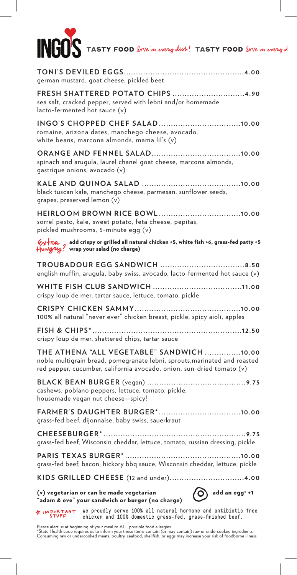# **INGOS** TASTY FOOD love in every dish! TASTY FOOD love in every d

| german mustard, goat cheese, pickled beet                                                                                                                                                       |
|-------------------------------------------------------------------------------------------------------------------------------------------------------------------------------------------------|
| FRESH SHATTERED POTATO CHIPS 4.90<br>sea salt, cracked pepper, served with lebni and/or homemade<br>lacto-fermented hot sauce (v)                                                               |
| romaine, arizona dates, manchego cheese, avocado,<br>white beans, marcona almonds, mama lil's (v)                                                                                               |
| spinach and arugula, laurel chanel goat cheese, marcona almonds,<br>qastrique onions, avocado (v)                                                                                               |
| black tuscan kale, manchego cheese, parmesan, sunflower seeds,<br>grapes, preserved lemon (v)                                                                                                   |
| sorrel pesto, kale, sweet potato, feta cheese, pepitas,<br>pickled mushrooms, 5-minute egg (v)                                                                                                  |
| $Q\star \uparrow nQ$ add crispy or grilled all natural chicken +5, white fish +6, grass-fed patty +5<br>Hunguy? wrap your salad (no charge)                                                     |
| english muffin, arugula, baby swiss, avocado, lacto-fermented hot sauce (v)                                                                                                                     |
| crispy loup de mer, tartar sauce, lettuce, tomato, pickle                                                                                                                                       |
| 100% all natural "never ever" chicken breast, pickle, spicy aioli, apples                                                                                                                       |
| crispy loup de mer, shattered chips, tartar sauce                                                                                                                                               |
| THE ATHENA "ALL VEGETABLE" SANDWICH 10.00<br>noble multigrain bread, pomegranate lebni, sprouts, marinated and roasted<br>red pepper, cucumber, california avocado, onion, sun-dried tomato (v) |
| cashews, poblano peppers, lettuce, tomato, pickle,<br>housemade vegan nut cheese-spicy!                                                                                                         |
| <b>FARMER'S DAUGHTER BURGER*</b><br>. 10 . 00<br>grass-fed beef, dijonnaise, baby swiss, sauerkraut                                                                                             |
| grass-fed beef, Wisconsin cheddar, lettuce, tomato, russian dressing, pickle                                                                                                                    |
| grass-fed beef, bacon, hickory bbq sauce, Wisconsin cheddar, lettuce, pickle                                                                                                                    |
| KIDS GRILLED CHEESE (12 and under)4.00                                                                                                                                                          |
| add an egg* +1<br>(v) vegetarian or can be made vegetarian<br>"adam & eve" your sandwich or burger (no charge)                                                                                  |
| We proudly serve 100% all natural hormone and antibiotic free<br><b>FIMPORTANT</b><br>chicken and 100% domestic grass-fed, grass-finished beef.                                                 |

Please alert us at beginning of your meal to ALL possible food allergies.<br>\*State Health code requires us to inform you: these items contain (or may contain) raw or undercooked ingredients.<br>Consuming raw or undercooked meat